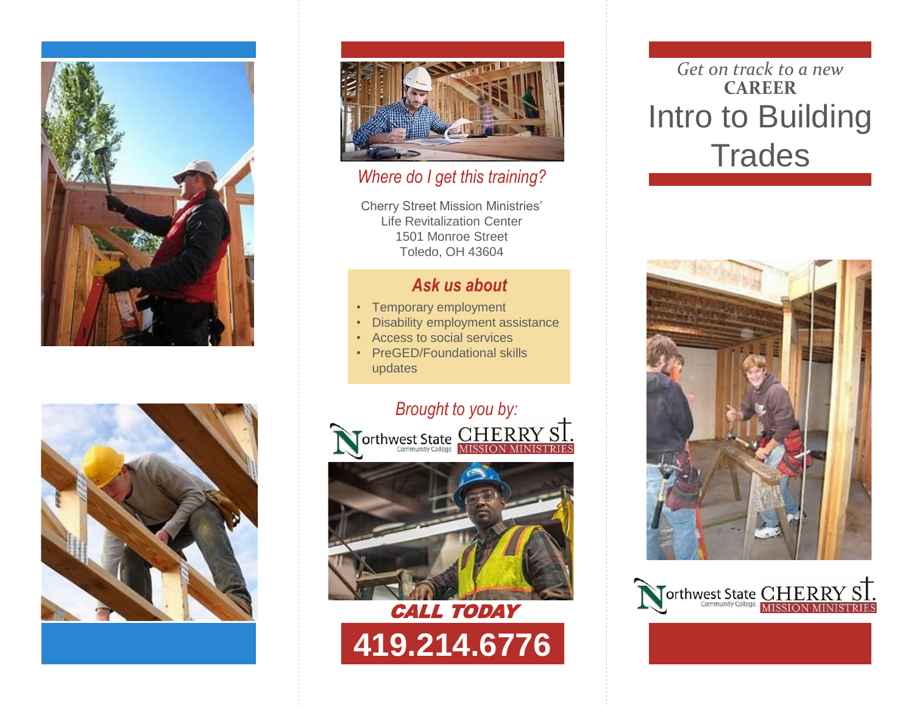





### *Where do I get this training?*

Cherry Street Mission Ministries' Life Revitalization Center 1501 Monroe Street Toledo, OH 43604

## *Ask us about*

- Temporary employment
- Disability employment assistance
- Access to social services
- PreGED/Foundational skills updates



# *Get on track to a new* **CAREER** Intro to Building **Trades**